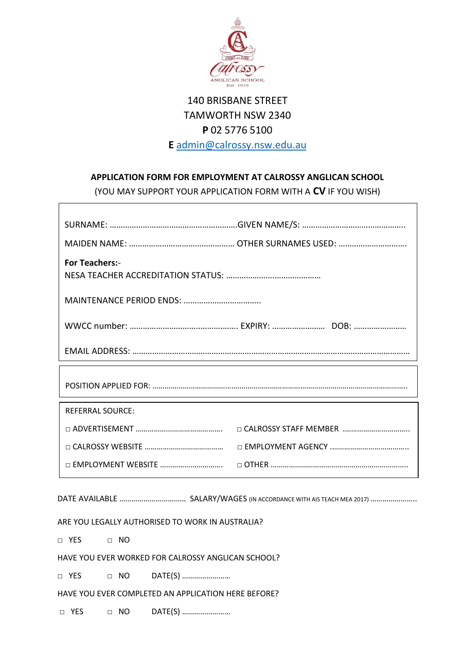

## 140 BRISBANE STREET TAMWORTH NSW 2340 **P** 02 5776 5100 **E** [admin@calrossy.nsw.edu.au](mailto:admin@calrossy.nsw.edu.au)

## **APPLICATION FORM FOR EMPLOYMENT AT CALROSSY ANGLICAN SCHOOL**

(YOU MAY SUPPORT YOUR APPLICATION FORM WITH A **CV** IF YOU WISH)

| <b>For Teachers:-</b>   |  |  |  |
|-------------------------|--|--|--|
|                         |  |  |  |
|                         |  |  |  |
|                         |  |  |  |
|                         |  |  |  |
| <b>REFERRAL SOURCE:</b> |  |  |  |
|                         |  |  |  |
|                         |  |  |  |
|                         |  |  |  |

DATE AVAILABLE …………………………… SALARY/WAGES (IN ACCORDANCE WITH AIS TEACH MEA 2017)…………………..

ARE YOU LEGALLY AUTHORISED TO WORK IN AUSTRALIA?

□ YES □ NO

 $\sqrt{ }$ 

HAVE YOU EVER WORKED FOR CALROSSY ANGLICAN SCHOOL?

□ YES □ NO DATE(S) ………………………

HAVE YOU EVER COMPLETED AN APPLICATION HERE BEFORE?

□ YES □ NO DATE(S) ………………………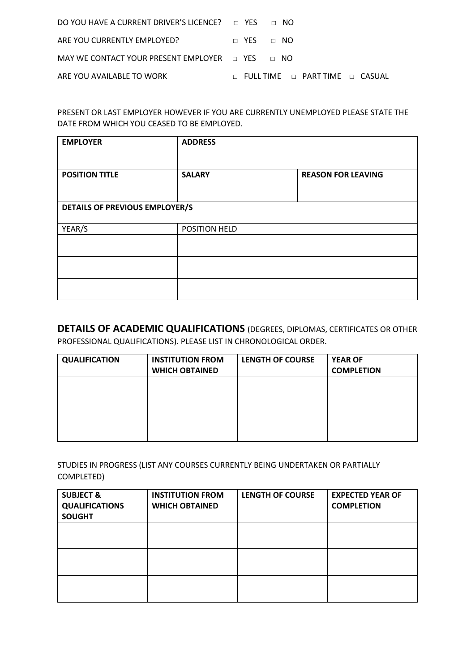| DO YOU HAVE A CURRENT DRIVER'S LICENCE? $\Box$ YES $\Box$ NO |                                                 |
|--------------------------------------------------------------|-------------------------------------------------|
| ARE YOU CURRENTLY EMPLOYED?                                  | $\Box$ YES $\Box$ NO                            |
| MAY WE CONTACT YOUR PRESENT EMPLOYER $\Box$ YES $\Box$ NO    |                                                 |
| ARE YOU AVAILABLE TO WORK                                    | $\Box$ Full time $\Box$ part time $\Box$ casual |

PRESENT OR LAST EMPLOYER HOWEVER IF YOU ARE CURRENTLY UNEMPLOYED PLEASE STATE THE DATE FROM WHICH YOU CEASED TO BE EMPLOYED.

| <b>EMPLOYER</b>                       | <b>ADDRESS</b> |                           |  |
|---------------------------------------|----------------|---------------------------|--|
| <b>POSITION TITLE</b>                 | <b>SALARY</b>  | <b>REASON FOR LEAVING</b> |  |
| <b>DETAILS OF PREVIOUS EMPLOYER/S</b> |                |                           |  |
| YEAR/S                                | POSITION HELD  |                           |  |
|                                       |                |                           |  |
|                                       |                |                           |  |
|                                       |                |                           |  |

**DETAILS OF ACADEMIC QUALIFICATIONS** (DEGREES, DIPLOMAS, CERTIFICATES OR OTHER PROFESSIONAL QUALIFICATIONS). PLEASE LIST IN CHRONOLOGICAL ORDER.

| <b>QUALIFICATION</b> | <b>INSTITUTION FROM</b> | <b>LENGTH OF COURSE</b> | <b>YEAR OF</b>    |
|----------------------|-------------------------|-------------------------|-------------------|
|                      | <b>WHICH OBTAINED</b>   |                         | <b>COMPLETION</b> |
|                      |                         |                         |                   |
|                      |                         |                         |                   |
|                      |                         |                         |                   |
|                      |                         |                         |                   |
|                      |                         |                         |                   |
|                      |                         |                         |                   |

STUDIES IN PROGRESS (LIST ANY COURSES CURRENTLY BEING UNDERTAKEN OR PARTIALLY COMPLETED)

| <b>SUBJECT &amp;</b><br><b>QUALIFICATIONS</b><br><b>SOUGHT</b> | <b>INSTITUTION FROM</b><br><b>WHICH OBTAINED</b> | <b>LENGTH OF COURSE</b> | <b>EXPECTED YEAR OF</b><br><b>COMPLETION</b> |
|----------------------------------------------------------------|--------------------------------------------------|-------------------------|----------------------------------------------|
|                                                                |                                                  |                         |                                              |
|                                                                |                                                  |                         |                                              |
|                                                                |                                                  |                         |                                              |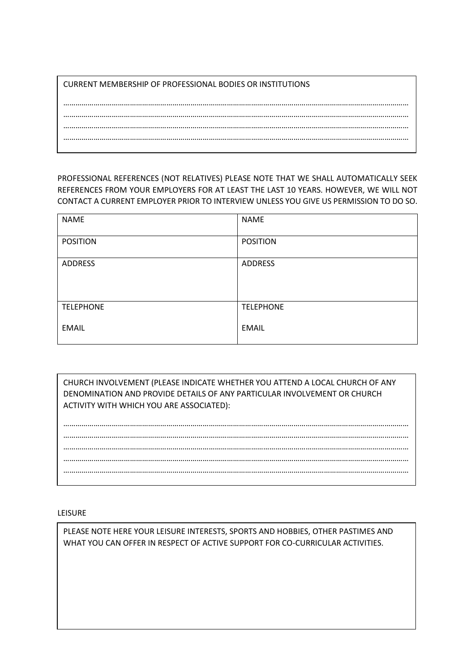CURRENT MEMBERSHIP OF PROFESSIONAL BODIES OR INSTITUTIONS

PROFESSIONAL REFERENCES (NOT RELATIVES) PLEASE NOTE THAT WE SHALL AUTOMATICALLY SEEK REFERENCES FROM YOUR EMPLOYERS FOR AT LEAST THE LAST 10 YEARS. HOWEVER, WE WILL NOT CONTACT A CURRENT EMPLOYER PRIOR TO INTERVIEW UNLESS YOU GIVE US PERMISSION TO DO SO.

| <b>NAME</b>      | <b>NAME</b>      |
|------------------|------------------|
| <b>POSITION</b>  | <b>POSITION</b>  |
|                  |                  |
| <b>ADDRESS</b>   | <b>ADDRESS</b>   |
|                  |                  |
|                  |                  |
| <b>TELEPHONE</b> | <b>TELEPHONE</b> |
| <b>EMAIL</b>     | <b>EMAIL</b>     |
|                  |                  |

CHURCH INVOLVEMENT (PLEASE INDICATE WHETHER YOU ATTEND A LOCAL CHURCH OF ANY DENOMINATION AND PROVIDE DETAILS OF ANY PARTICULAR INVOLVEMENT OR CHURCH ACTIVITY WITH WHICH YOU ARE ASSOCIATED):

## LEISURE

PLEASE NOTE HERE YOUR LEISURE INTERESTS, SPORTS AND HOBBIES, OTHER PASTIMES AND WHAT YOU CAN OFFER IN RESPECT OF ACTIVE SUPPORT FOR CO-CURRICULAR ACTIVITIES.